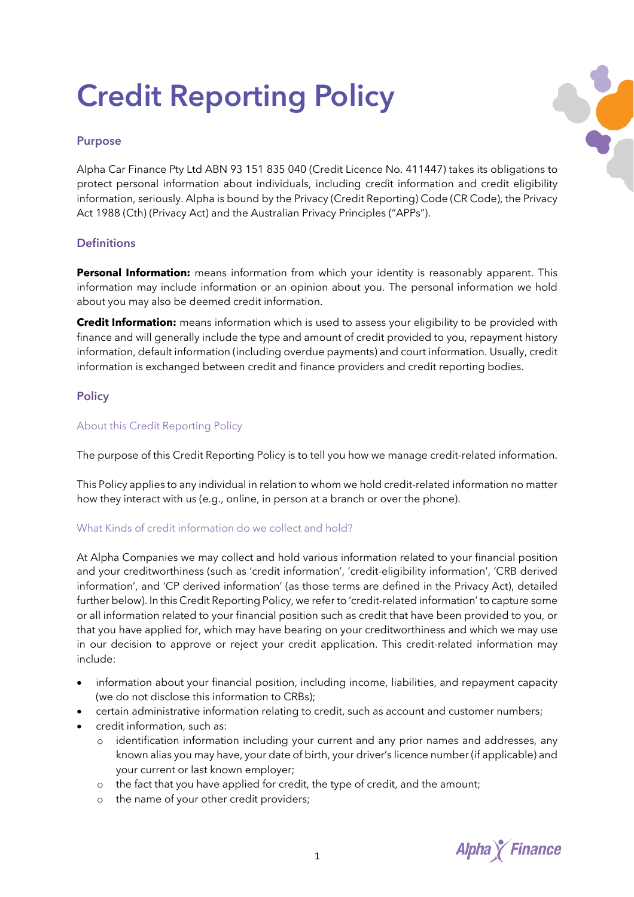# **Credit Reporting Policy**

## **Purpose**

Alpha Car Finance Pty Ltd ABN 93 151 835 040 (Credit Licence No. 411447) takes its obligations to protect personal information about individuals, including credit information and credit eligibility information, seriously. Alpha is bound by the Privacy (Credit Reporting) Code (CR Code), the Privacy Act 1988 (Cth) (Privacy Act) and the Australian Privacy Principles ("APPs").

## **Definitions**

**Personal Information:** means information from which your identity is reasonably apparent. This information may include information or an opinion about you. The personal information we hold about you may also be deemed credit information.

**Credit Information:** means information which is used to assess your eligibility to be provided with finance and will generally include the type and amount of credit provided to you, repayment history information, default information (including overdue payments) and court information. Usually, credit information is exchanged between credit and finance providers and credit reporting bodies.

# **Policy**

## About this Credit Reporting Policy

The purpose of this Credit Reporting Policy is to tell you how we manage credit-related information.

This Policy applies to any individual in relation to whom we hold credit-related information no matter how they interact with us (e.g., online, in person at a branch or over the phone).

## What Kinds of credit information do we collect and hold?

At Alpha Companies we may collect and hold various information related to your financial position and your creditworthiness (such as 'credit information', 'credit-eligibility information', 'CRB derived information', and 'CP derived information' (as those terms are defined in the Privacy Act), detailed further below). In this Credit Reporting Policy, we refer to 'credit-related information' to capture some or all information related to your financial position such as credit that have been provided to you, or that you have applied for, which may have bearing on your creditworthiness and which we may use in our decision to approve or reject your credit application. This credit-related information may include:

- information about your financial position, including income, liabilities, and repayment capacity (we do not disclose this information to CRBs);
- certain administrative information relating to credit, such as account and customer numbers;
- credit information, such as:
	- o identification information including your current and any prior names and addresses, any known alias you may have, your date of birth, your driver's licence number (if applicable) and your current or last known employer;
	- o the fact that you have applied for credit, the type of credit, and the amount;
	- o the name of your other credit providers;

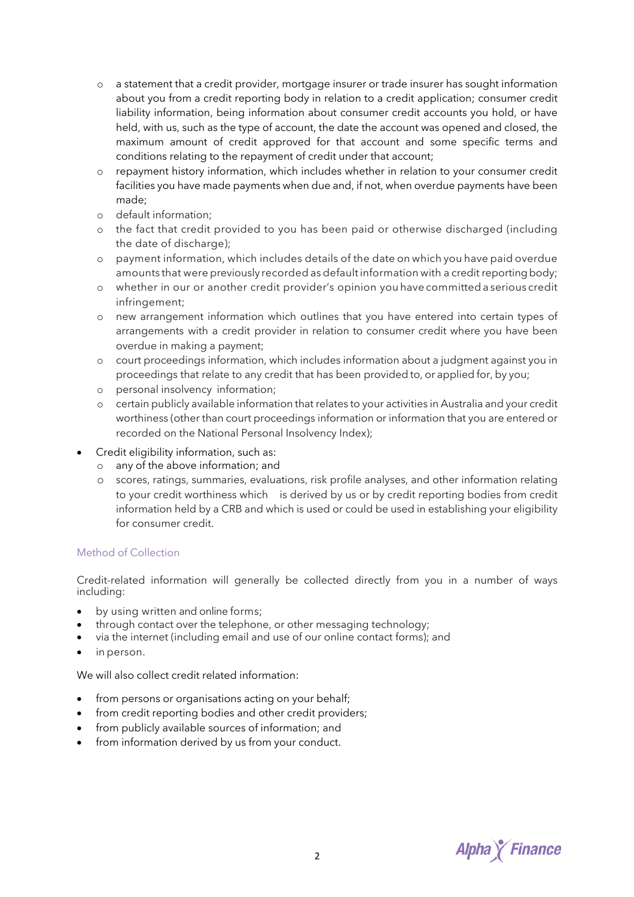- o a statement that a credit provider, mortgage insurer or trade insurer has sought information about you from a credit reporting body in relation to a credit application; consumer credit liability information, being information about consumer credit accounts you hold, or have held, with us, such as the type of account, the date the account was opened and closed, the maximum amount of credit approved for that account and some specific terms and conditions relating to the repayment of credit under that account;
- o repayment history information, which includes whether in relation to your consumer credit facilities you have made payments when due and, if not, when overdue payments have been made;
- o default information;
- o the fact that credit provided to you has been paid or otherwise discharged (including the date of discharge);
- o payment information, which includes details of the date on which you have paid overdue amounts that were previously recorded as default information with a credit reporting body;
- o whether in our or another credit provider's opinion you have committed a serious credit infringement;
- o new arrangement information which outlines that you have entered into certain types of arrangements with a credit provider in relation to consumer credit where you have been overdue in making a payment;
- o court proceedings information, which includes information about a judgment against you in proceedings that relate to any credit that has been provided to, or applied for, by you;
- o personal insolvency information;
- o certain publicly available information that relates to your activities in Australia and your credit worthiness (other than court proceedings information or information that you are entered or recorded on the National Personal Insolvency Index);
- Credit eligibility information, such as:
	- o any of the above information; and
	- o scores, ratings, summaries, evaluations, risk profile analyses, and other information relating to your credit worthiness which is derived by us or by credit reporting bodies from credit information held by a CRB and which is used or could be used in establishing your eligibility for consumer credit.

## Method of Collection

Credit-related information will generally be collected directly from you in a number of ways including:

- by using written and online forms;
- through contact over the telephone, or other messaging technology;
- via the internet (including email and use of our online contact forms); and
- in person.

We will also collect credit related information:

- from persons or organisations acting on your behalf;
- from credit reporting bodies and other credit providers;
- from publicly available sources of information; and
- from information derived by us from your conduct.

**Alpha** *Y* Finance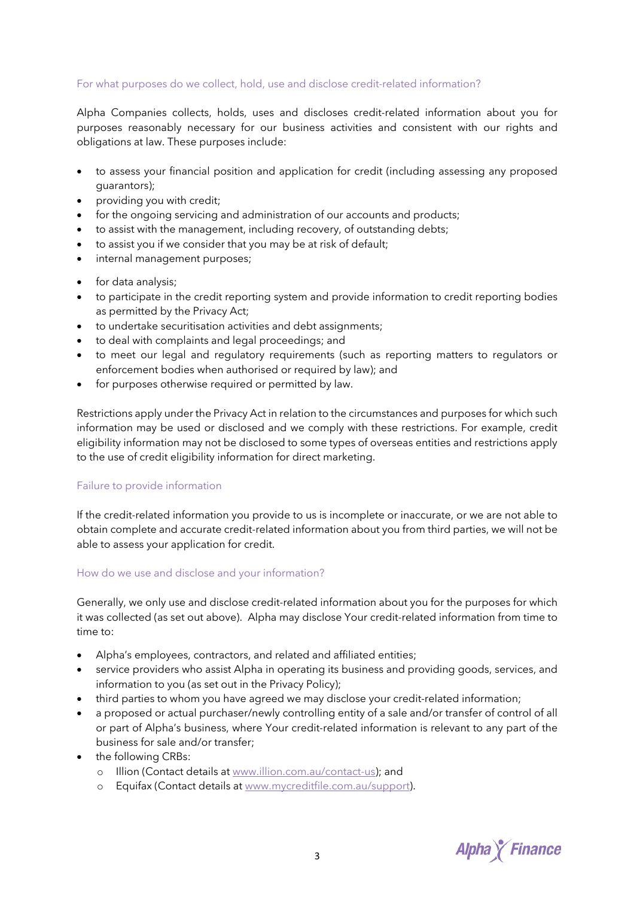## For what purposes do we collect, hold, use and disclose credit-related information?

Alpha Companies collects, holds, uses and discloses credit-related information about you for purposes reasonably necessary for our business activities and consistent with our rights and obligations at law. These purposes include:

- to assess your financial position and application for credit (including assessing any proposed guarantors);
- providing you with credit;
- for the ongoing servicing and administration of our accounts and products;
- to assist with the management, including recovery, of outstanding debts;
- to assist you if we consider that you may be at risk of default;
- internal management purposes;
- for data analysis;
- to participate in the credit reporting system and provide information to credit reporting bodies as permitted by the Privacy Act;
- to undertake securitisation activities and debt assignments;
- to deal with complaints and legal proceedings; and
- to meet our legal and regulatory requirements (such as reporting matters to regulators or enforcement bodies when authorised or required by law); and
- for purposes otherwise required or permitted by law.

Restrictions apply under the Privacy Act in relation to the circumstances and purposes for which such information may be used or disclosed and we comply with these restrictions. For example, credit eligibility information may not be disclosed to some types of overseas entities and restrictions apply to the use of credit eligibility information for direct marketing.

#### Failure to provide information

If the credit-related information you provide to us is incomplete or inaccurate, or we are not able to obtain complete and accurate credit-related information about you from third parties, we will not be able to assess your application for credit.

#### How do we use and disclose and your information?

Generally, we only use and disclose credit-related information about you for the purposes for which it was collected (as set out above). Alpha may disclose Your credit-related information from time to time to:

- Alpha's employees, contractors, and related and affiliated entities;
- service providers who assist Alpha in operating its business and providing goods, services, and information to you (as set out in the Privacy Policy);
- third parties to whom you have agreed we may disclose your credit-related information;
- a proposed or actual purchaser/newly controlling entity of a sale and/or transfer of control of all or part of Alpha's business, where Your credit-related information is relevant to any part of the business for sale and/or transfer;
- the following CRBs:
	- o Illion (Contact details at www.illion.com.au/contact-us); and
	- o Equifax (Contact details at www.mycreditfile.com.au/support).

**Alpha** *Y* Finance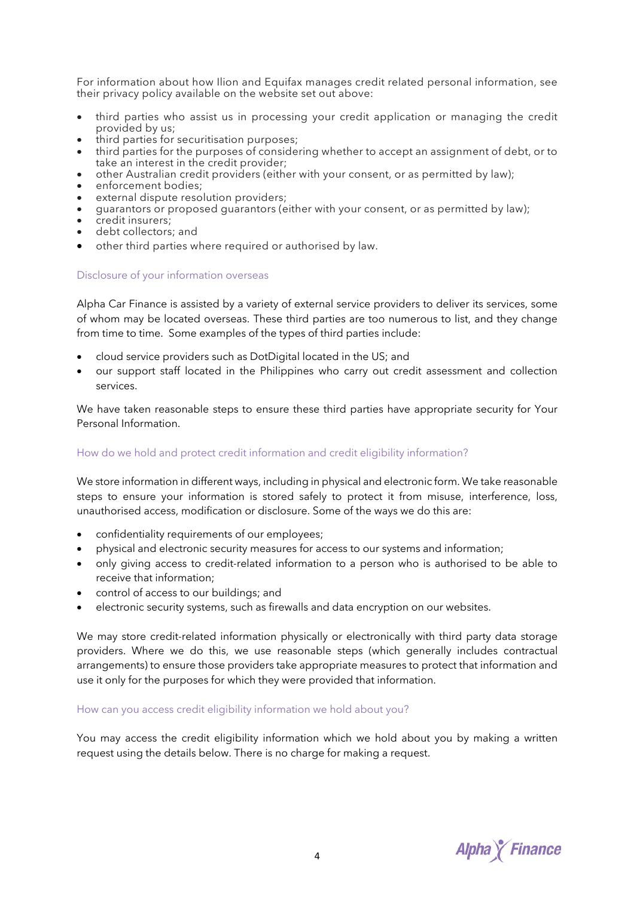For information about how Ilion and Equifax manages credit related personal information, see their privacy policy available on the website set out above:

- third parties who assist us in processing your credit application or managing the credit provided by us;
- third parties for securitisation purposes;
- third parties for the purposes of considering whether to accept an assignment of debt, or to take an interest in the credit provider;
- other Australian credit providers (either with your consent, or as permitted by law);
- other Australian credi<br>• enforcement bodies;
- external dispute resolution providers;
- guarantors or proposed guarantors (either with your consent, or as permitted by law);
- guarantons = quarantons;
- debt collectors; and
- other third parties where required or authorised by law.

#### Disclosure of your information overseas

Alpha Car Finance is assisted by a variety of external service providers to deliver its services, some of whom may be located overseas. These third parties are too numerous to list, and they change from time to time. Some examples of the types of third parties include:

- cloud service providers such as DotDigital located in the US; and
- our support staff located in the Philippines who carry out credit assessment and collection services.

We have taken reasonable steps to ensure these third parties have appropriate security for Your Personal Information.

### How do we hold and protect credit information and credit eligibility information?

We store information in different ways, including in physical and electronic form. We take reasonable steps to ensure your information is stored safely to protect it from misuse, interference, loss, unauthorised access, modification or disclosure. Some of the ways we do this are:

- confidentiality requirements of our employees;
- physical and electronic security measures for access to our systems and information;
- only giving access to credit-related information to a person who is authorised to be able to receive that information;
- control of access to our buildings; and
- electronic security systems, such as firewalls and data encryption on our websites.

We may store credit-related information physically or electronically with third party data storage providers. Where we do this, we use reasonable steps (which generally includes contractual arrangements) to ensure those providers take appropriate measures to protect that information and use it only for the purposes for which they were provided that information.

#### How can you access credit eligibility information we hold about you?

You may access the credit eligibility information which we hold about you by making a written request using the details below. There is no charge for making a request.

**Alpha** *K* Finance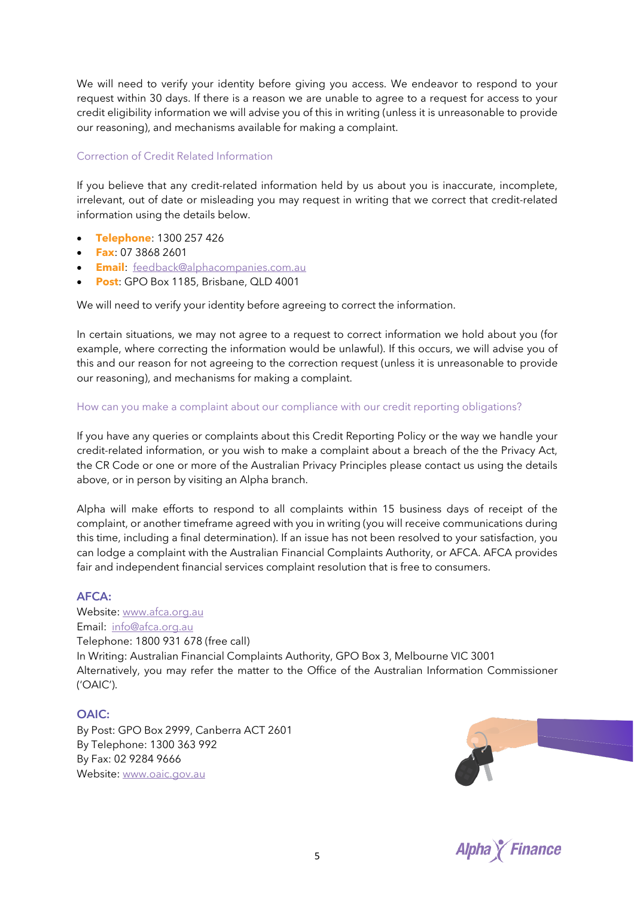We will need to verify your identity before giving you access. We endeavor to respond to your request within 30 days. If there is a reason we are unable to agree to a request for access to your credit eligibility information we will advise you of this in writing (unless it is unreasonable to provide our reasoning), and mechanisms available for making a complaint.

## Correction of Credit Related Information

If you believe that any credit-related information held by us about you is inaccurate, incomplete, irrelevant, out of date or misleading you may request in writing that we correct that credit-related information using the details below.

- **Telephone**: 1300 257 426
- **Fax**: 07 3868 2601
- **Email**: feedback@alphacompanies.com.au
- **Post**: GPO Box 1185, Brisbane, QLD 4001

We will need to verify your identity before agreeing to correct the information.

In certain situations, we may not agree to a request to correct information we hold about you (for example, where correcting the information would be unlawful). If this occurs, we will advise you of this and our reason for not agreeing to the correction request (unless it is unreasonable to provide our reasoning), and mechanisms for making a complaint.

## How can you make a complaint about our compliance with our credit reporting obligations?

If you have any queries or complaints about this Credit Reporting Policy or the way we handle your credit-related information, or you wish to make a complaint about a breach of the the Privacy Act, the CR Code or one or more of the Australian Privacy Principles please contact us using the details above, or in person by visiting an Alpha branch.

Alpha will make efforts to respond to all complaints within 15 business days of receipt of the complaint, or another timeframe agreed with you in writing (you will receive communications during this time, including a final determination). If an issue has not been resolved to your satisfaction, you can lodge a complaint with the Australian Financial Complaints Authority, or AFCA. AFCA provides fair and independent financial services complaint resolution that is free to consumers.

## **AFCA:**

Website: www.afca.org.au Email: info@afca.org.au Telephone: 1800 931 678 (free call) In Writing: Australian Financial Complaints Authority, GPO Box 3, Melbourne VIC 3001 Alternatively, you may refer the matter to the Office of the Australian Information Commissioner ('OAIC').

## **OAIC:**

By Post: GPO Box 2999, Canberra ACT 2601 By Telephone: 1300 363 992 By Fax: 02 9284 9666 Website: www.oaic.gov.au



**Alpha** *Y* Finance